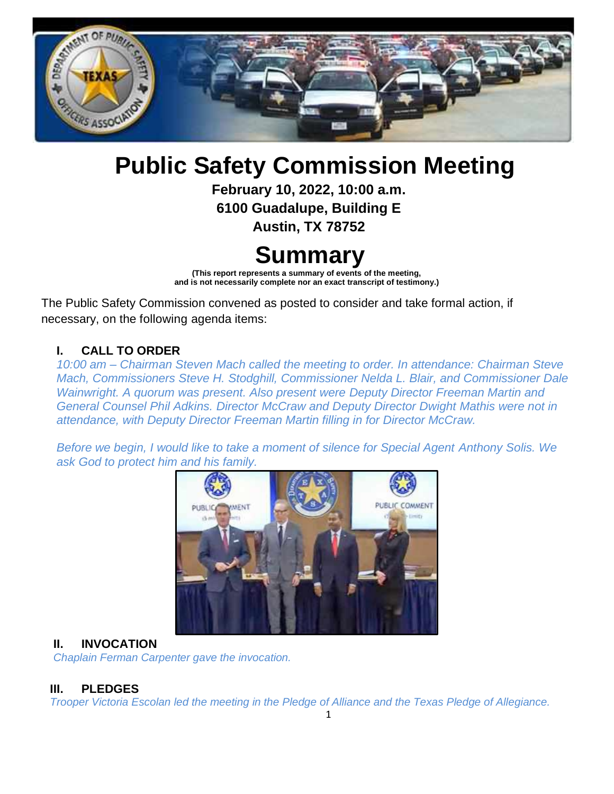

# **Public Safety Commission Meeting**

**February 10, 2022, 10:00 a.m.**

**6100 Guadalupe, Building E**

**Austin, TX 78752**

## **Summary**

**(This report represents a summary of events of the meeting, and is not necessarily complete nor an exact transcript of testimony.)**

The Public Safety Commission convened as posted to consider and take formal action, if necessary, on the following agenda items:

#### **I. CALL TO ORDER**

*10:00 am – Chairman Steven Mach called the meeting to order. In attendance: Chairman Steve Mach, Commissioners Steve H. Stodghill, Commissioner Nelda L. Blair, and Commissioner Dale Wainwright. A quorum was present. Also present were Deputy Director Freeman Martin and General Counsel Phil Adkins. Director McCraw and Deputy Director Dwight Mathis were not in attendance, with Deputy Director Freeman Martin filling in for Director McCraw.*

*Before we begin, I would like to take a moment of silence for Special Agent Anthony Solis. We ask God to protect him and his family.*



#### **II. INVOCATION**

*Chaplain Ferman Carpenter gave the invocation.*

## **III. PLEDGES**

*Trooper Victoria Escolan led the meeting in the Pledge of Alliance and the Texas Pledge of Allegiance.*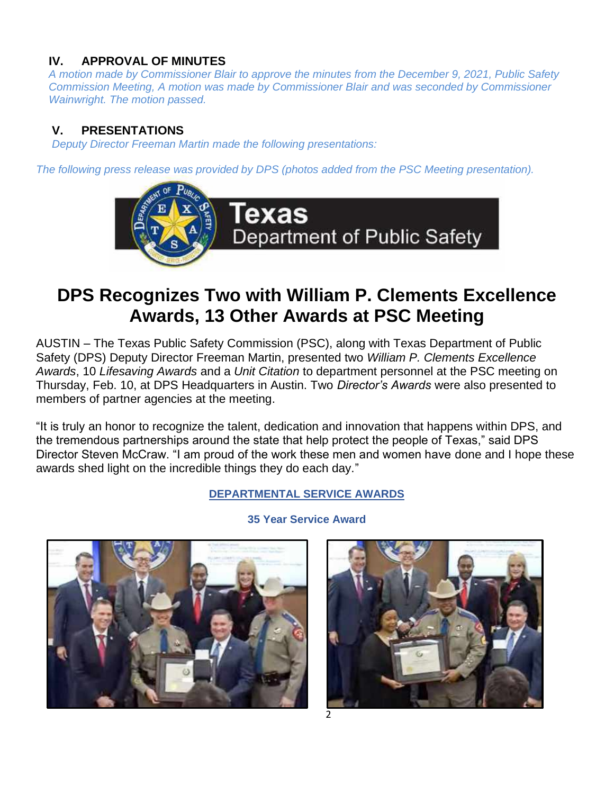## **IV. APPROVAL OF MINUTES**

*A motion made by Commissioner Blair to approve the minutes from the December 9, 2021, Public Safety Commission Meeting, A motion was made by Commissioner Blair and was seconded by Commissioner Wainwright. The motion passed.*

### **V. PRESENTATIONS**

*Deputy Director Freeman Martin made the following presentations:*

*The following press release was provided by DPS (photos added from the PSC Meeting presentation).*



## **DPS Recognizes Two with William P. Clements Excellence Awards, 13 Other Awards at PSC Meeting**

AUSTIN – The Texas Public Safety Commission (PSC), along with Texas Department of Public Safety (DPS) Deputy Director Freeman Martin, presented two *William P. Clements Excellence Awards*, 10 *Lifesaving Awards* and a *Unit Citation* to department personnel at the PSC meeting on Thursday, Feb. 10, at DPS Headquarters in Austin. Two *Director's Awards* were also presented to members of partner agencies at the meeting.

"It is truly an honor to recognize the talent, dedication and innovation that happens within DPS, and the tremendous partnerships around the state that help protect the people of Texas," said DPS Director Steven McCraw. "I am proud of the work these men and women have done and I hope these awards shed light on the incredible things they do each day."

#### **DEPARTMENTAL SERVICE AWARDS**



## **35 Year Service Award**

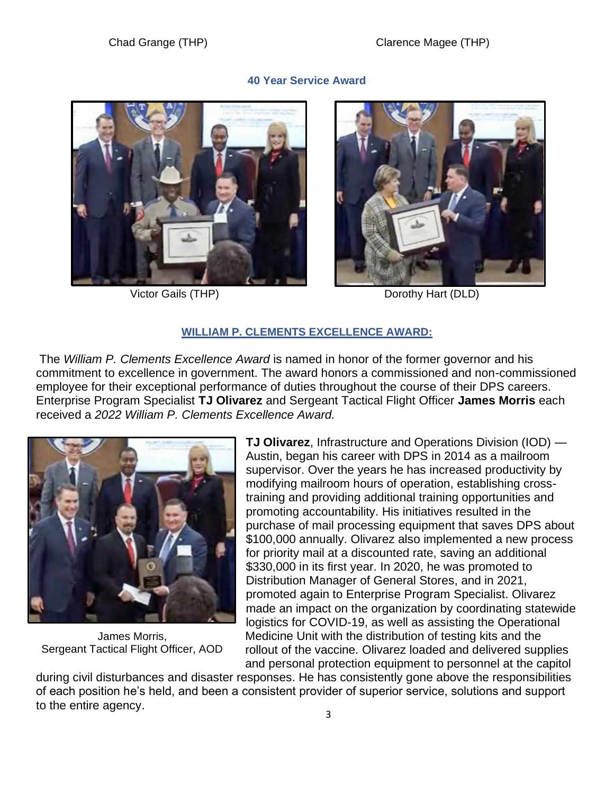#### **40 Year Service Award**





**Victor Gails (THP)** Dorothy Hart (DLD)

#### **WILLIAM P. CLEMENTS EXCELLENCE AWARD:**

The *William P. Clements Excellence Award* is named in honor of the former governor and his commitment to excellence in government. The award honors a commissioned and non-commissioned employee for their exceptional performance of duties throughout the course of their DPS careers. Enterprise Program Specialist **TJ Olivarez** and Sergeant Tactical Flight Officer **James Morris** each received a *2022 William P. Clements Excellence Award.*



James Morris, Sergeant Tactical Flight Officer, AOD

**TJ Olivarez**, Infrastructure and Operations Division (IOD) — Austin, began his career with DPS in 2014 as a mailroom supervisor. Over the years he has increased productivity by modifying mailroom hours of operation, establishing crosstraining and providing additional training opportunities and promoting accountability. His initiatives resulted in the purchase of mail processing equipment that saves DPS about \$100,000 annually. Olivarez also implemented a new process for priority mail at a discounted rate, saving an additional \$330,000 in its first year. In 2020, he was promoted to Distribution Manager of General Stores, and in 2021, promoted again to Enterprise Program Specialist. Olivarez made an impact on the organization by coordinating statewide logistics for COVID-19, as well as assisting the Operational Medicine Unit with the distribution of testing kits and the rollout of the vaccine. Olivarez loaded and delivered supplies and personal protection equipment to personnel at the capitol

during civil disturbances and disaster responses. He has consistently gone above the responsibilities of each position he's held, and been a consistent provider of superior service, solutions and support to the entire agency.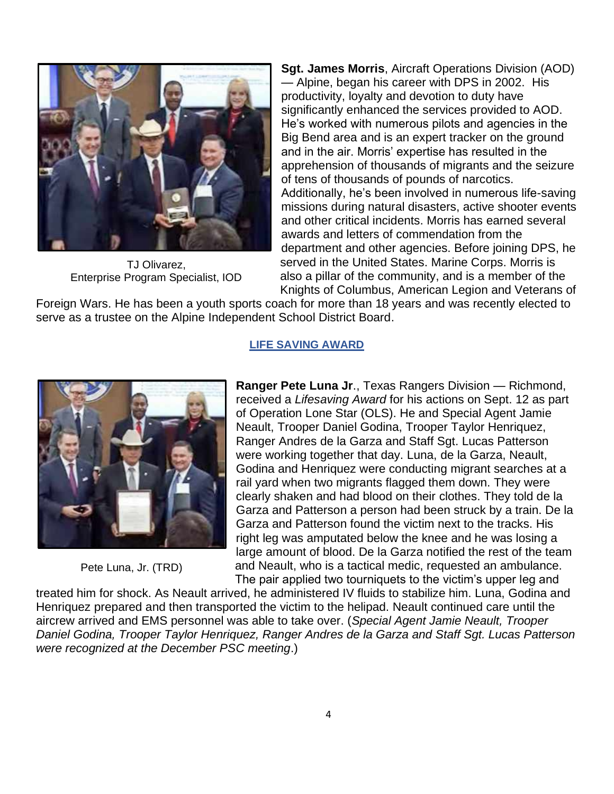

TJ Olivarez, Enterprise Program Specialist, IOD

**Sgt. James Morris**, Aircraft Operations Division (AOD) — Alpine, began his career with DPS in 2002. His productivity, loyalty and devotion to duty have significantly enhanced the services provided to AOD. He's worked with numerous pilots and agencies in the Big Bend area and is an expert tracker on the ground and in the air. Morris' expertise has resulted in the apprehension of thousands of migrants and the seizure of tens of thousands of pounds of narcotics. Additionally, he's been involved in numerous life-saving missions during natural disasters, active shooter events and other critical incidents. Morris has earned several awards and letters of commendation from the department and other agencies. Before joining DPS, he served in the United States. Marine Corps. Morris is also a pillar of the community, and is a member of the Knights of Columbus, American Legion and Veterans of

Foreign Wars. He has been a youth sports coach for more than 18 years and was recently elected to serve as a trustee on the Alpine Independent School District Board.



Pete Luna, Jr. (TRD)

#### **LIFE SAVING AWARD**

**Ranger Pete Luna Jr**., Texas Rangers Division — Richmond, received a *Lifesaving Award* for his actions on Sept. 12 as part of Operation Lone Star (OLS). He and Special Agent Jamie Neault, Trooper Daniel Godina, Trooper Taylor Henriquez, Ranger Andres de la Garza and Staff Sgt. Lucas Patterson were working together that day. Luna, de la Garza, Neault, Godina and Henriquez were conducting migrant searches at a rail yard when two migrants flagged them down. They were clearly shaken and had blood on their clothes. They told de la Garza and Patterson a person had been struck by a train. De la Garza and Patterson found the victim next to the tracks. His right leg was amputated below the knee and he was losing a large amount of blood. De la Garza notified the rest of the team and Neault, who is a tactical medic, requested an ambulance. The pair applied two tourniquets to the victim's upper leg and

treated him for shock. As Neault arrived, he administered IV fluids to stabilize him. Luna, Godina and Henriquez prepared and then transported the victim to the helipad. Neault continued care until the aircrew arrived and EMS personnel was able to take over. (*Special Agent Jamie Neault, Trooper Daniel Godina, Trooper Taylor Henriquez, Ranger Andres de la Garza and Staff Sgt. Lucas Patterson were recognized at the December PSC meeting*.)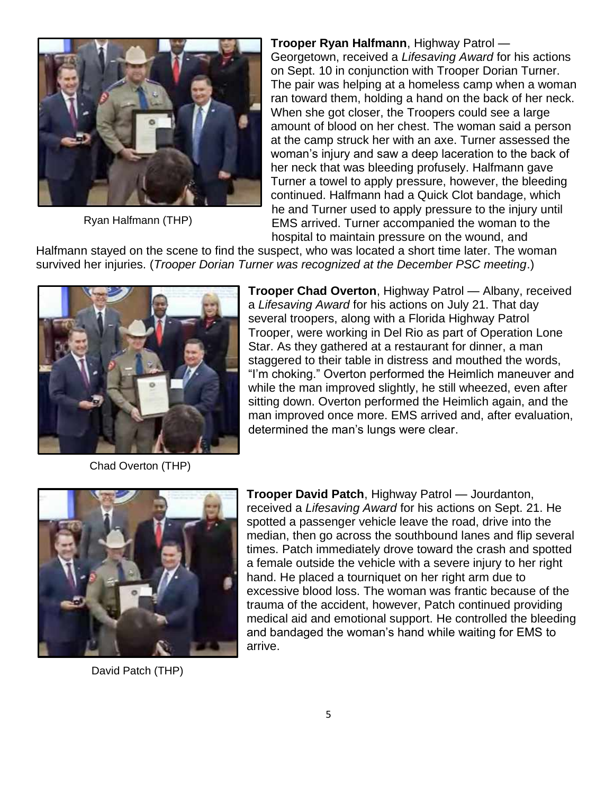

Ryan Halfmann (THP)

**Trooper Ryan Halfmann**, Highway Patrol — Georgetown, received a *Lifesaving Award* for his actions on Sept. 10 in conjunction with Trooper Dorian Turner. The pair was helping at a homeless camp when a woman ran toward them, holding a hand on the back of her neck. When she got closer, the Troopers could see a large amount of blood on her chest. The woman said a person at the camp struck her with an axe. Turner assessed the woman's injury and saw a deep laceration to the back of her neck that was bleeding profusely. Halfmann gave Turner a towel to apply pressure, however, the bleeding continued. Halfmann had a Quick Clot bandage, which he and Turner used to apply pressure to the injury until EMS arrived. Turner accompanied the woman to the hospital to maintain pressure on the wound, and

Halfmann stayed on the scene to find the suspect, who was located a short time later. The woman survived her injuries. (*Trooper Dorian Turner was recognized at the December PSC meeting*.)



**Trooper Chad Overton**, Highway Patrol — Albany, received a *Lifesaving Award* for his actions on July 21. That day several troopers, along with a Florida Highway Patrol Trooper, were working in Del Rio as part of Operation Lone Star. As they gathered at a restaurant for dinner, a man staggered to their table in distress and mouthed the words, "I'm choking." Overton performed the Heimlich maneuver and while the man improved slightly, he still wheezed, even after sitting down. Overton performed the Heimlich again, and the man improved once more. EMS arrived and, after evaluation, determined the man's lungs were clear.

Chad Overton (THP)



David Patch (THP)

**Trooper David Patch**, Highway Patrol — Jourdanton, received a *Lifesaving Award* for his actions on Sept. 21. He spotted a passenger vehicle leave the road, drive into the median, then go across the southbound lanes and flip several times. Patch immediately drove toward the crash and spotted a female outside the vehicle with a severe injury to her right hand. He placed a tourniquet on her right arm due to excessive blood loss. The woman was frantic because of the trauma of the accident, however, Patch continued providing medical aid and emotional support. He controlled the bleeding and bandaged the woman's hand while waiting for EMS to arrive.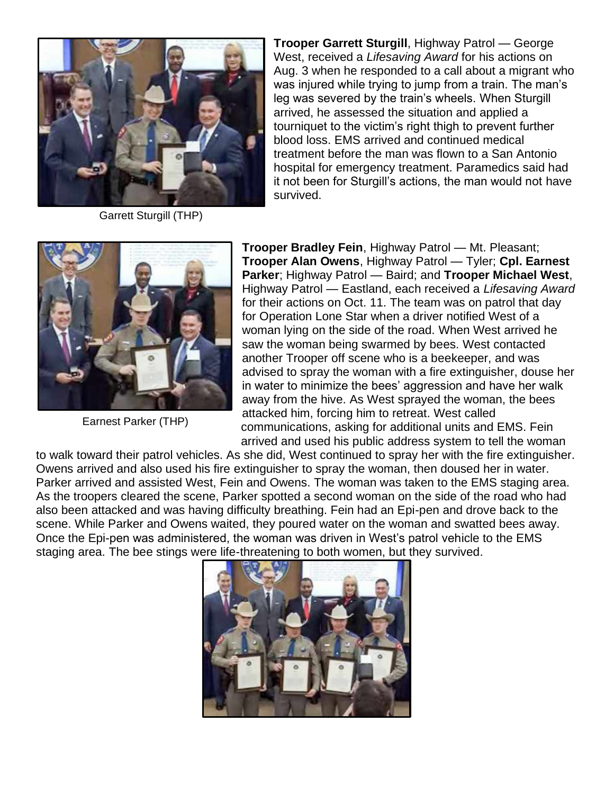

Garrett Sturgill (THP)

**Trooper Garrett Sturgill**, Highway Patrol — George West, received a *Lifesaving Award* for his actions on Aug. 3 when he responded to a call about a migrant who was injured while trying to jump from a train. The man's leg was severed by the train's wheels. When Sturgill arrived, he assessed the situation and applied a tourniquet to the victim's right thigh to prevent further blood loss. EMS arrived and continued medical treatment before the man was flown to a San Antonio hospital for emergency treatment. Paramedics said had it not been for Sturgill's actions, the man would not have survived.



Earnest Parker (THP)

**Trooper Bradley Fein**, Highway Patrol — Mt. Pleasant; **Trooper Alan Owens**, Highway Patrol — Tyler; **Cpl. Earnest Parker**; Highway Patrol — Baird; and **Trooper Michael West**, Highway Patrol — Eastland, each received a *Lifesaving Award* for their actions on Oct. 11. The team was on patrol that day for Operation Lone Star when a driver notified West of a woman lying on the side of the road. When West arrived he saw the woman being swarmed by bees. West contacted another Trooper off scene who is a beekeeper, and was advised to spray the woman with a fire extinguisher, douse her in water to minimize the bees' aggression and have her walk away from the hive. As West sprayed the woman, the bees attacked him, forcing him to retreat. West called communications, asking for additional units and EMS. Fein arrived and used his public address system to tell the woman

to walk toward their patrol vehicles. As she did, West continued to spray her with the fire extinguisher. Owens arrived and also used his fire extinguisher to spray the woman, then doused her in water. Parker arrived and assisted West, Fein and Owens. The woman was taken to the EMS staging area. As the troopers cleared the scene, Parker spotted a second woman on the side of the road who had also been attacked and was having difficulty breathing. Fein had an Epi-pen and drove back to the scene. While Parker and Owens waited, they poured water on the woman and swatted bees away. Once the Epi-pen was administered, the woman was driven in West's patrol vehicle to the EMS staging area. The bee stings were life-threatening to both women, but they survived.

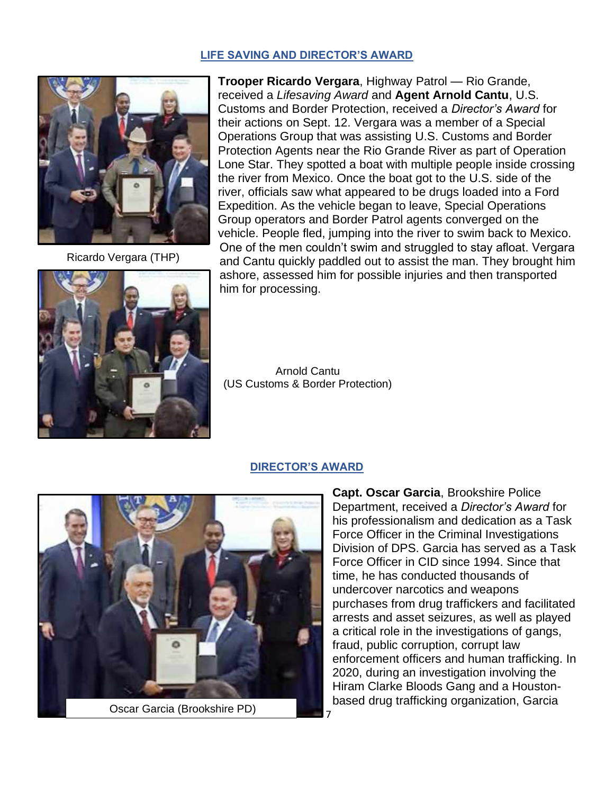#### **LIFE SAVING AND DIRECTOR'S AWARD**



Ricardo Vergara (THP)



**Trooper Ricardo Vergara**, Highway Patrol — Rio Grande, received a *Lifesaving Award* and **Agent Arnold Cantu**, U.S. Customs and Border Protection, received a *Director's Award* for their actions on Sept. 12. Vergara was a member of a Special Operations Group that was assisting U.S. Customs and Border Protection Agents near the Rio Grande River as part of Operation Lone Star. They spotted a boat with multiple people inside crossing the river from Mexico. Once the boat got to the U.S. side of the river, officials saw what appeared to be drugs loaded into a Ford Expedition. As the vehicle began to leave, Special Operations Group operators and Border Patrol agents converged on the vehicle. People fled, jumping into the river to swim back to Mexico. One of the men couldn't swim and struggled to stay afloat. Vergara and Cantu quickly paddled out to assist the man. They brought him ashore, assessed him for possible injuries and then transported him for processing.

Arnold Cantu (US Customs & Border Protection)

#### **DIRECTOR'S AWARD**



**Capt. Oscar Garcia**, Brookshire Police Department, received a *Director's Award* for his professionalism and dedication as a Task Force Officer in the Criminal Investigations Division of DPS. Garcia has served as a Task Force Officer in CID since 1994. Since that time, he has conducted thousands of undercover narcotics and weapons purchases from drug traffickers and facilitated arrests and asset seizures, as well as played a critical role in the investigations of gangs, fraud, public corruption, corrupt law enforcement officers and human trafficking. In 2020, during an investigation involving the Hiram Clarke Bloods Gang and a Houstonbased drug trafficking organization, Garcia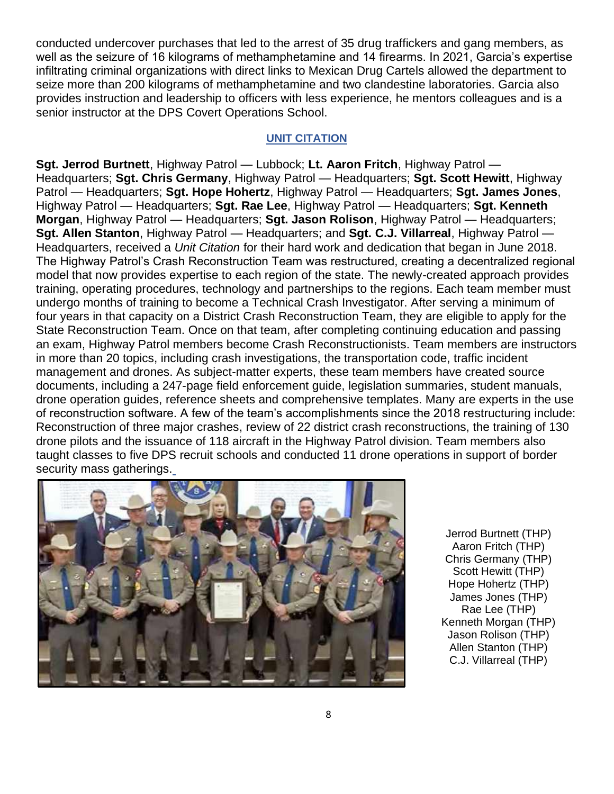conducted undercover purchases that led to the arrest of 35 drug traffickers and gang members, as well as the seizure of 16 kilograms of methamphetamine and 14 firearms. In 2021, Garcia's expertise infiltrating criminal organizations with direct links to Mexican Drug Cartels allowed the department to seize more than 200 kilograms of methamphetamine and two clandestine laboratories. Garcia also provides instruction and leadership to officers with less experience, he mentors colleagues and is a senior instructor at the DPS Covert Operations School.

#### **UNIT CITATION**

**Sgt. Jerrod Burtnett**, Highway Patrol — Lubbock; **Lt. Aaron Fritch**, Highway Patrol — Headquarters; **Sgt. Chris Germany**, Highway Patrol — Headquarters; **Sgt. Scott Hewitt**, Highway Patrol — Headquarters; **Sgt. Hope Hohertz**, Highway Patrol — Headquarters; **Sgt. James Jones**, Highway Patrol — Headquarters; **Sgt. Rae Lee**, Highway Patrol — Headquarters; **Sgt. Kenneth Morgan**, Highway Patrol — Headquarters; **Sgt. Jason Rolison**, Highway Patrol — Headquarters; **Sgt. Allen Stanton**, Highway Patrol — Headquarters; and **Sgt. C.J. Villarreal**, Highway Patrol — Headquarters, received a *Unit Citation* for their hard work and dedication that began in June 2018. The Highway Patrol's Crash Reconstruction Team was restructured, creating a decentralized regional model that now provides expertise to each region of the state. The newly-created approach provides training, operating procedures, technology and partnerships to the regions. Each team member must undergo months of training to become a Technical Crash Investigator. After serving a minimum of four years in that capacity on a District Crash Reconstruction Team, they are eligible to apply for the State Reconstruction Team. Once on that team, after completing continuing education and passing an exam, Highway Patrol members become Crash Reconstructionists. Team members are instructors in more than 20 topics, including crash investigations, the transportation code, traffic incident management and drones. As subject-matter experts, these team members have created source documents, including a 247-page field enforcement guide, legislation summaries, student manuals, drone operation guides, reference sheets and comprehensive templates. Many are experts in the use of reconstruction software. A few of the team's accomplishments since the 2018 restructuring include: Reconstruction of three major crashes, review of 22 district crash reconstructions, the training of 130 drone pilots and the issuance of 118 aircraft in the Highway Patrol division. Team members also taught classes to five DPS recruit schools and conducted 11 drone operations in support of border security mass gatherings.



Jerrod Burtnett (THP) Aaron Fritch (THP) Chris Germany (THP) Scott Hewitt (THP) Hope Hohertz (THP) James Jones (THP) Rae Lee (THP) Kenneth Morgan (THP) Jason Rolison (THP) Allen Stanton (THP) C.J. Villarreal (THP)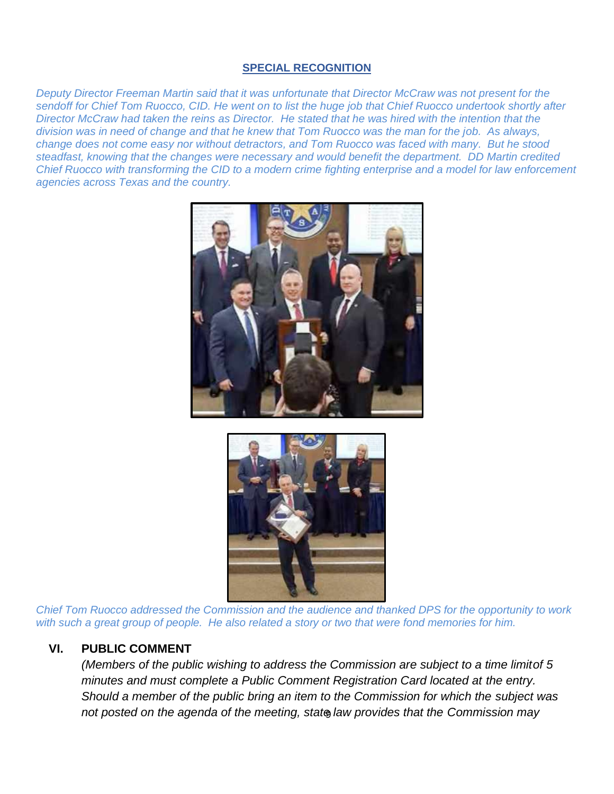#### **SPECIAL RECOGNITION**

*Deputy Director Freeman Martin said that it was unfortunate that Director McCraw was not present for the sendoff for Chief Tom Ruocco, CID. He went on to list the huge job that Chief Ruocco undertook shortly after Director McCraw had taken the reins as Director. He stated that he was hired with the intention that the division was in need of change and that he knew that Tom Ruocco was the man for the job. As always, change does not come easy nor without detractors, and Tom Ruocco was faced with many. But he stood steadfast, knowing that the changes were necessary and would benefit the department. DD Martin credited Chief Ruocco with transforming the CID to a modern crime fighting enterprise and a model for law enforcement agencies across Texas and the country.*





*Chief Tom Ruocco addressed the Commission and the audience and thanked DPS for the opportunity to work with such a great group of people. He also related a story or two that were fond memories for him.*

#### **VI. PUBLIC COMMENT**

9 *not posted on the agenda of the meeting, state law provides that the Commission may (Members of the public wishing to address the Commission are subject to a time limitof 5 minutes and must complete a Public Comment Registration Card located at the entry. Should a member of the public bring an item to the Commission for which the subject was*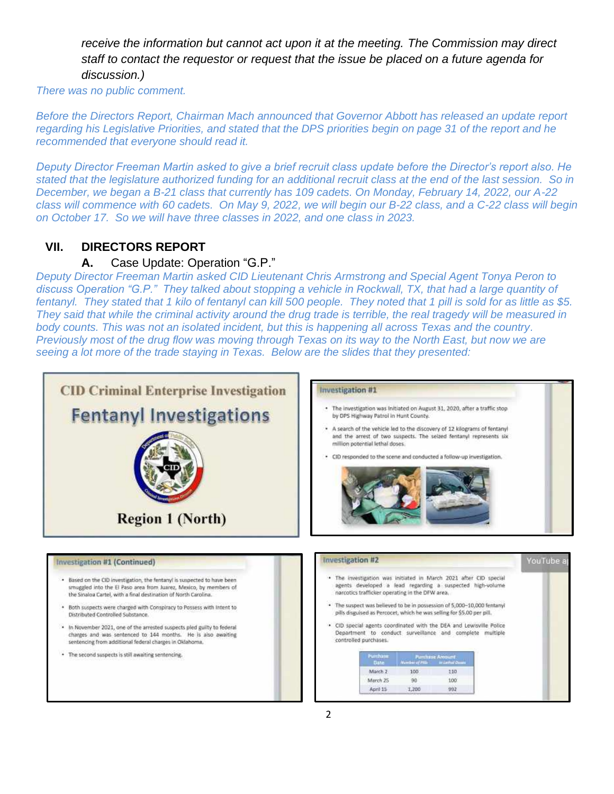*receive the information but cannot act upon it at the meeting. The Commission may direct staff to contact the requestor or request that the issue be placed on a future agenda for discussion.)*

*There was no public comment.* 

*Before the Directors Report, Chairman Mach announced that Governor Abbott has released an update report regarding his Legislative Priorities, and stated that the DPS priorities begin on page 31 of the report and he recommended that everyone should read it.*

*Deputy Director Freeman Martin asked to give a brief recruit class update before the Director's report also. He stated that the legislature authorized funding for an additional recruit class at the end of the last session. So in December, we began a B-21 class that currently has 109 cadets. On Monday, February 14, 2022, our A-22 class will commence with 60 cadets. On May 9, 2022, we will begin our B-22 class, and a C-22 class will begin on October 17. So we will have three classes in 2022, and one class in 2023.*

#### **VII. DIRECTORS REPORT**

#### **A.** Case Update: Operation "G.P."

*Deputy Director Freeman Martin asked CID Lieutenant Chris Armstrong and Special Agent Tonya Peron to discuss Operation "G.P." They talked about stopping a vehicle in Rockwall, TX, that had a large quantity of fentanyl. They stated that 1 kilo of fentanyl can kill 500 people. They noted that 1 pill is sold for as little as \$5. They said that while the criminal activity around the drug trade is terrible, the real tragedy will be measured in body counts. This was not an isolated incident, but this is happening all across Texas and the country. Previously most of the drug flow was moving through Texas on its way to the North East, but now we are seeing a lot more of the trade staying in Texas. Below are the slides that they presented:*

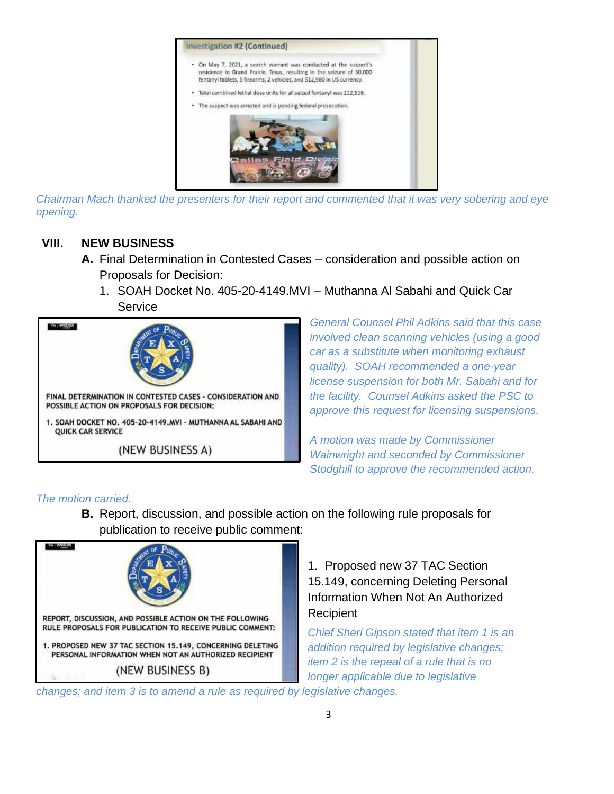

*Chairman Mach thanked the presenters for their report and commented that it was very sobering and eye opening.*

### **VIII. NEW BUSINESS**

- **A.** Final Determination in Contested Cases consideration and possible action on Proposals for Decision:
	- 1. SOAH Docket No. 405-20-4149.MVI Muthanna Al Sabahi and Quick Car **Service**



*General Counsel Phil Adkins said that this case involved clean scanning vehicles (using a good car as a substitute when monitoring exhaust quality). SOAH recommended a one-year license suspension for both Mr. Sabahi and for the facility. Counsel Adkins asked the PSC to approve this request for licensing suspensions.*

*A motion was made by Commissioner Wainwright and seconded by Commissioner Stodghill to approve the recommended action.*

#### *The motion carried.*

**B.** Report, discussion, and possible action on the following rule proposals for publication to receive public comment:



1. Proposed new 37 TAC Section 15.149, concerning Deleting Personal Information When Not An Authorized **Recipient** 

*Chief Sheri Gipson stated that item 1 is an addition required by legislative changes; item 2 is the repeal of a rule that is no longer applicable due to legislative* 

*changes; and item 3 is to amend a rule as required by legislative changes.*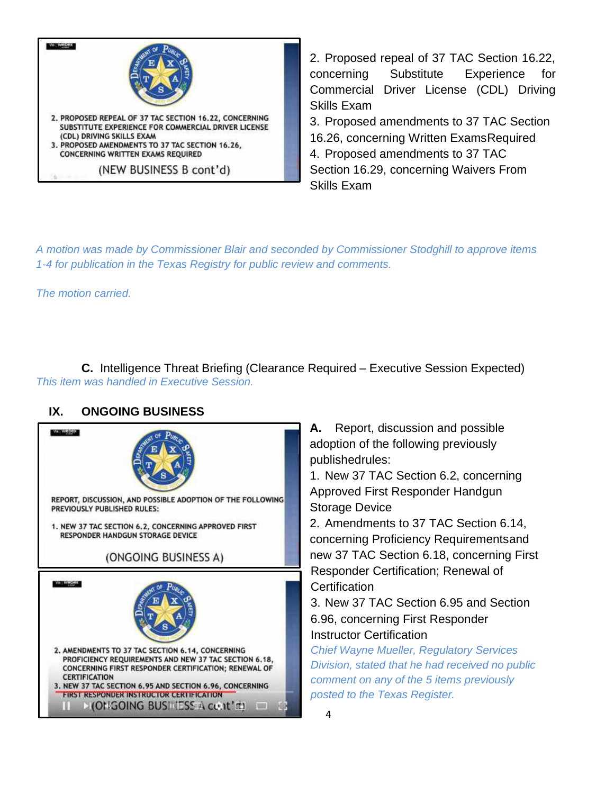

2. Proposed repeal of 37 TAC Section 16.22, concerning Substitute Experience for Commercial Driver License (CDL) Driving Skills Exam 3. Proposed amendments to 37 TAC Section 16.26, concerning Written ExamsRequired 4. Proposed amendments to 37 TAC

Section 16.29, concerning Waivers From Skills Exam

*A motion was made by Commissioner Blair and seconded by Commissioner Stodghill to approve items 1-4 for publication in the Texas Registry for public review and comments.*

*The motion carried.*

**C.** Intelligence Threat Briefing (Clearance Required – Executive Session Expected) *This item was handled in Executive Session.*

## **IX. ONGOING BUSINESS**



**A.** Report, discussion and possible adoption of the following previously publishedrules:

1. New 37 TAC Section 6.2, concerning Approved First Responder Handgun Storage Device

2. Amendments to 37 TAC Section 6.14, concerning Proficiency Requirementsand new 37 TAC Section 6.18, concerning First Responder Certification; Renewal of **Certification** 

3. New 37 TAC Section 6.95 and Section 6.96, concerning First Responder Instructor Certification

*Chief Wayne Mueller, Regulatory Services Division, stated that he had received no public comment on any of the 5 items previously posted to the Texas Register.*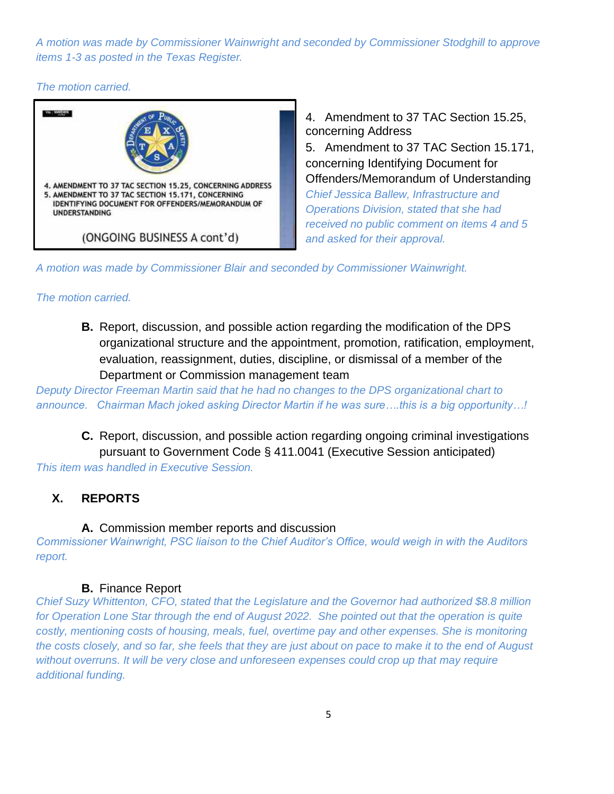*A motion was made by Commissioner Wainwright and seconded by Commissioner Stodghill to approve items 1-3 as posted in the Texas Register.*

*The motion carried.*



4. Amendment to 37 TAC Section 15.25, concerning Address 5. Amendment to 37 TAC Section 15.171, concerning Identifying Document for Offenders/Memorandum of Understanding *Chief Jessica Ballew, Infrastructure and Operations Division, stated that she had received no public comment on items 4 and 5 and asked for their approval.*

*A motion was made by Commissioner Blair and seconded by Commissioner Wainwright.*

#### *The motion carried.*

**B.** Report, discussion, and possible action regarding the modification of the DPS organizational structure and the appointment, promotion, ratification, employment, evaluation, reassignment, duties, discipline, or dismissal of a member of the Department or Commission management team

*Deputy Director Freeman Martin said that he had no changes to the DPS organizational chart to announce. Chairman Mach joked asking Director Martin if he was sure….this is a big opportunity…!*

**C.** Report, discussion, and possible action regarding ongoing criminal investigations pursuant to Government Code § 411.0041 (Executive Session anticipated)

*This item was handled in Executive Session.*

## **X. REPORTS**

**A.** Commission member reports and discussion

*Commissioner Wainwright, PSC liaison to the Chief Auditor's Office, would weigh in with the Auditors report.*

#### **B.** Finance Report

*Chief Suzy Whittenton, CFO, stated that the Legislature and the Governor had authorized \$8.8 million for Operation Lone Star through the end of August 2022. She pointed out that the operation is quite costly, mentioning costs of housing, meals, fuel, overtime pay and other expenses. She is monitoring the costs closely, and so far, she feels that they are just about on pace to make it to the end of August without overruns. It will be very close and unforeseen expenses could crop up that may require additional funding.*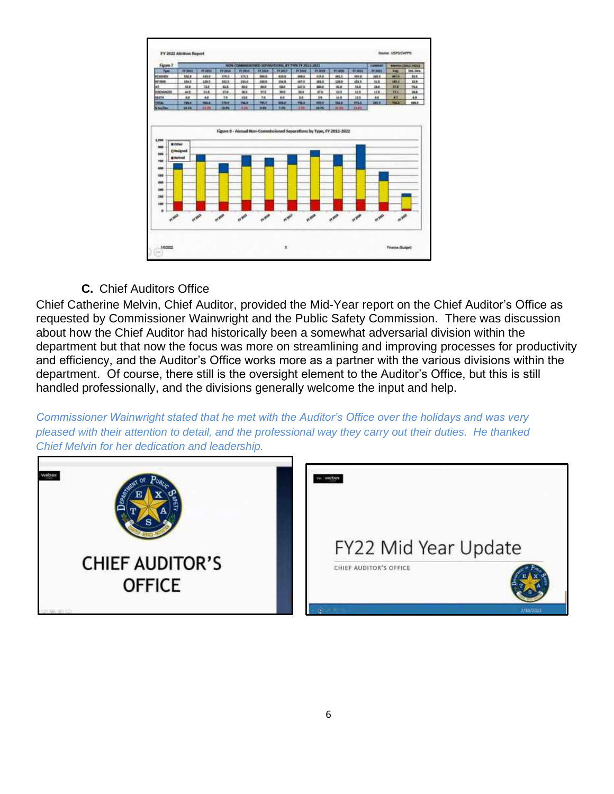

**C.** Chief Auditors Office

Chief Catherine Melvin, Chief Auditor, provided the Mid-Year report on the Chief Auditor's Office as requested by Commissioner Wainwright and the Public Safety Commission. There was discussion about how the Chief Auditor had historically been a somewhat adversarial division within the department but that now the focus was more on streamlining and improving processes for productivity and efficiency, and the Auditor's Office works more as a partner with the various divisions within the department. Of course, there still is the oversight element to the Auditor's Office, but this is still handled professionally, and the divisions generally welcome the input and help.

*Commissioner Wainwright stated that he met with the Auditor's Office over the holidays and was very pleased with their attention to detail, and the professional way they carry out their duties. He thanked Chief Melvin for her dedication and leadership.*

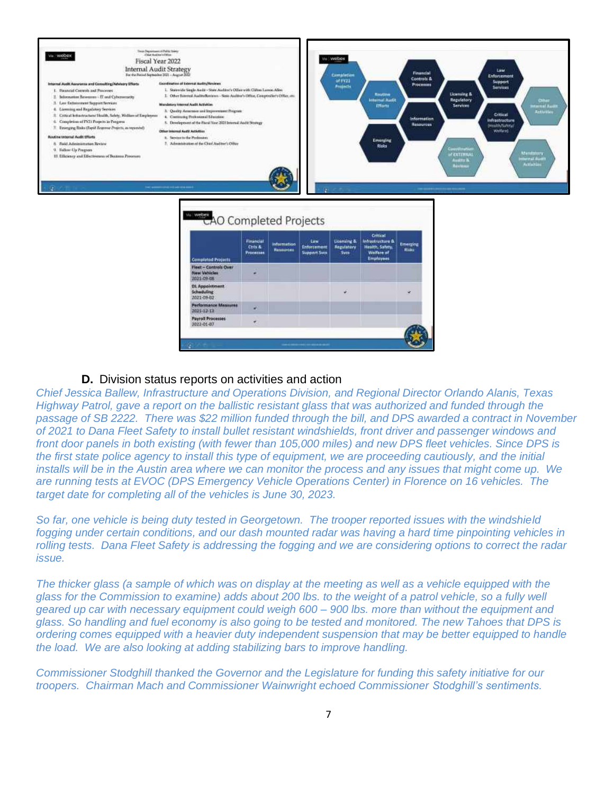| Tour Department of Public States<br>Via WODEK<br>Fiscal Year 2022<br><b>Internal Audit Strategy</b><br>For the Penned September 2021 - August 2022                                                                                                                                                                                                                                                                                                                                                                                                                          |                                                                                                                                                                                                                                                                                                                                                                                                                                                                                                                                                                     |                                          |                                |                                                   | Via Webbex<br><b>Completion</b>                     |                                                                                   | Financial                                                                | Law<br><b>Enforcement</b>                                                                                                                                                                                                                                                                                                                                   |
|-----------------------------------------------------------------------------------------------------------------------------------------------------------------------------------------------------------------------------------------------------------------------------------------------------------------------------------------------------------------------------------------------------------------------------------------------------------------------------------------------------------------------------------------------------------------------------|---------------------------------------------------------------------------------------------------------------------------------------------------------------------------------------------------------------------------------------------------------------------------------------------------------------------------------------------------------------------------------------------------------------------------------------------------------------------------------------------------------------------------------------------------------------------|------------------------------------------|--------------------------------|---------------------------------------------------|-----------------------------------------------------|-----------------------------------------------------------------------------------|--------------------------------------------------------------------------|-------------------------------------------------------------------------------------------------------------------------------------------------------------------------------------------------------------------------------------------------------------------------------------------------------------------------------------------------------------|
| Internal Audit Agences and Consulting/Advisory Efforts<br>1. Firancial Correols and Processes<br>Information Resources - IT and Cybersecority<br>芝<br>3. Law flatencomme Support Norwices<br>4. Liomning and Regulatory Services<br>Critical Intractructure/Health, Schty, Wellam of Employeer.<br>6. Completion of PX21 Proprie la Progress<br>3 Exerging Bisks (Sapid Bearmer Prejects, as represents)<br><b>Routing Internal Audit Efforts</b><br>8. Euid Administration Review.<br>G. Kolkow-Lis Program<br>10. Efficiency and Effectiveness of Bustons Preserves<br>G. | <b>Exactleating of External Audity/Keylewy</b><br>1. Statewide Single Audit - State Audztre's Office with Clifton Lumon Allen<br>2. Other Baterical Audito/Reviews - State Auditor's Office, Composible's Office, etc.<br>Mundatory Meenal Audit Activities<br>3. Quality Assumes and Empressment Program<br>4. Continuing Professional Education<br>5. Development of the Facul Your 2021 Internal Audit Strategy<br>Other Internal Audit Activities<br>4. Service to the Profession.<br>2. Administration of the Chart Auditor's Office<br>CAO Completed Projects |                                          |                                | œ.                                                | uf#Y21<br><b>Projects</b>                           | <b>Rautine</b><br>Internal Audit<br>Efforts<br><b>Emerging</b><br>Risks           | Controls &<br><b>Processes</b><br><b>Information</b><br><b>Resources</b> | Support<br><b>Services</b><br>Licensing &<br>Regulatory<br>Other<br><b>Services</b><br><b>HEATTHE RAILLY</b><br>Activities<br>Critical<br>infrastructure<br><b>Health/Sulvey/</b><br>Welfare)<br>Committee<br><b>Musicians</b><br><b>CEXTERIULI</b><br>Harnal Dutth<br><b>Audity &amp;</b><br>Activities<br>Reviews<br>1000 000 000 000 000 000 000 000 000 |
|                                                                                                                                                                                                                                                                                                                                                                                                                                                                                                                                                                             | <b>Completed Projects</b>                                                                                                                                                                                                                                                                                                                                                                                                                                                                                                                                           | Financial<br>Ctris &<br><b>Processes</b> | <b>Information</b><br>Research | Link<br><b>Enforcement</b><br><b>Support Sycs</b> | <b>Licensing &amp;</b><br>Regulatory<br><b>Syca</b> | Critical<br>Infrastructure &<br><b>Health, Safety,</b><br>Welfare of<br>Employees | tmenting<br><b>Ridge</b>                                                 |                                                                                                                                                                                                                                                                                                                                                             |
|                                                                                                                                                                                                                                                                                                                                                                                                                                                                                                                                                                             | <b>Fiest - Controls Over</b><br>New Vehicles<br>3025-09-08                                                                                                                                                                                                                                                                                                                                                                                                                                                                                                          | ٠                                        |                                |                                                   |                                                     |                                                                                   |                                                                          |                                                                                                                                                                                                                                                                                                                                                             |
|                                                                                                                                                                                                                                                                                                                                                                                                                                                                                                                                                                             | <b>DL</b> Appointment<br>Schnduling<br>2021-09-82                                                                                                                                                                                                                                                                                                                                                                                                                                                                                                                   |                                          |                                |                                                   |                                                     |                                                                                   | ÷                                                                        |                                                                                                                                                                                                                                                                                                                                                             |
|                                                                                                                                                                                                                                                                                                                                                                                                                                                                                                                                                                             | <b>Performance Measures</b><br>1021-12-13                                                                                                                                                                                                                                                                                                                                                                                                                                                                                                                           | ٠                                        |                                |                                                   |                                                     |                                                                                   |                                                                          |                                                                                                                                                                                                                                                                                                                                                             |
|                                                                                                                                                                                                                                                                                                                                                                                                                                                                                                                                                                             | <b>Payroll Processes</b><br>3022-01-07                                                                                                                                                                                                                                                                                                                                                                                                                                                                                                                              | W.                                       |                                |                                                   |                                                     |                                                                                   | <b>STATISTICS</b>                                                        |                                                                                                                                                                                                                                                                                                                                                             |

#### **D.** Division status reports on activities and action

*Chief Jessica Ballew, Infrastructure and Operations Division, and Regional Director Orlando Alanis, Texas Highway Patrol, gave a report on the ballistic resistant glass that was authorized and funded through the passage of SB 2222. There was \$22 million funded through the bill, and DPS awarded a contract in November of 2021 to Dana Fleet Safety to install bullet resistant windshields, front driver and passenger windows and front door panels in both existing (with fewer than 105,000 miles) and new DPS fleet vehicles. Since DPS is*  the first state police agency to install this type of equipment, we are proceeding cautiously, and the initial *installs will be in the Austin area where we can monitor the process and any issues that might come up. We are running tests at EVOC (DPS Emergency Vehicle Operations Center) in Florence on 16 vehicles. The target date for completing all of the vehicles is June 30, 2023.*

*So far, one vehicle is being duty tested in Georgetown. The trooper reported issues with the windshield fogging under certain conditions, and our dash mounted radar was having a hard time pinpointing vehicles in rolling tests. Dana Fleet Safety is addressing the fogging and we are considering options to correct the radar issue.*

*The thicker glass (a sample of which was on display at the meeting as well as a vehicle equipped with the glass for the Commission to examine) adds about 200 lbs. to the weight of a patrol vehicle, so a fully well geared up car with necessary equipment could weigh 600 – 900 lbs. more than without the equipment and glass. So handling and fuel economy is also going to be tested and monitored. The new Tahoes that DPS is ordering comes equipped with a heavier duty independent suspension that may be better equipped to handle the load. We are also looking at adding stabilizing bars to improve handling.*

*Commissioner Stodghill thanked the Governor and the Legislature for funding this safety initiative for our troopers. Chairman Mach and Commissioner Wainwright echoed Commissioner Stodghill's sentiments.*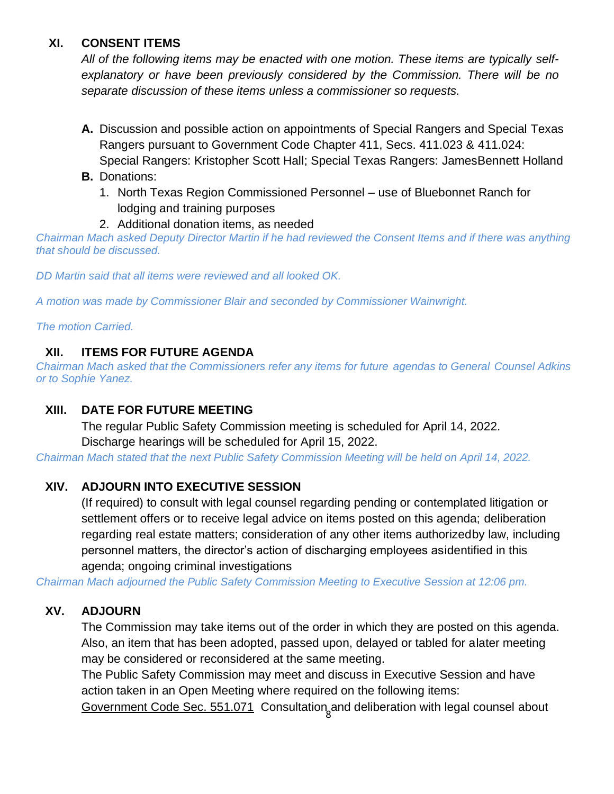## **XI. CONSENT ITEMS**

*All of the following items may be enacted with one motion. These items are typically selfexplanatory or have been previously considered by the Commission. There will be no separate discussion of these items unless a commissioner so requests.*

- **A.** Discussion and possible action on appointments of Special Rangers and Special Texas Rangers pursuant to Government Code Chapter 411, Secs. 411.023 & 411.024: Special Rangers: Kristopher Scott Hall; Special Texas Rangers: JamesBennett Holland
- **B.** Donations:
	- 1. North Texas Region Commissioned Personnel use of Bluebonnet Ranch for lodging and training purposes
	- 2. Additional donation items, as needed

*Chairman Mach asked Deputy Director Martin if he had reviewed the Consent Items and if there was anything that should be discussed.* 

*DD Martin said that all items were reviewed and all looked OK.*

*A motion was made by Commissioner Blair and seconded by Commissioner Wainwright.*

*The motion Carried.*

## **XII. ITEMS FOR FUTURE AGENDA**

*Chairman Mach asked that the Commissioners refer any items for future agendas to General Counsel Adkins or to Sophie Yanez.*

## **XIII. DATE FOR FUTURE MEETING**

The regular Public Safety Commission meeting is scheduled for April 14, 2022. Discharge hearings will be scheduled for April 15, 2022.

*Chairman Mach stated that the next Public Safety Commission Meeting will be held on April 14, 2022.*

## **XIV. ADJOURN INTO EXECUTIVE SESSION**

(If required) to consult with legal counsel regarding pending or contemplated litigation or settlement offers or to receive legal advice on items posted on this agenda; deliberation regarding real estate matters; consideration of any other items authorizedby law, including personnel matters, the director's action of discharging employees asidentified in this agenda; ongoing criminal investigations

*Chairman Mach adjourned the Public Safety Commission Meeting to Executive Session at 12:06 pm.*

## **XV. ADJOURN**

The Commission may take items out of the order in which they are posted on this agenda. Also, an item that has been adopted, passed upon, delayed or tabled for alater meeting may be considered or reconsidered at the same meeting.

The Public Safety Commission may meet and discuss in Executive Session and have action taken in an Open Meeting where required on the following items:

Government Code Sec. 551.071 Consultation and deliberation with legal counsel about